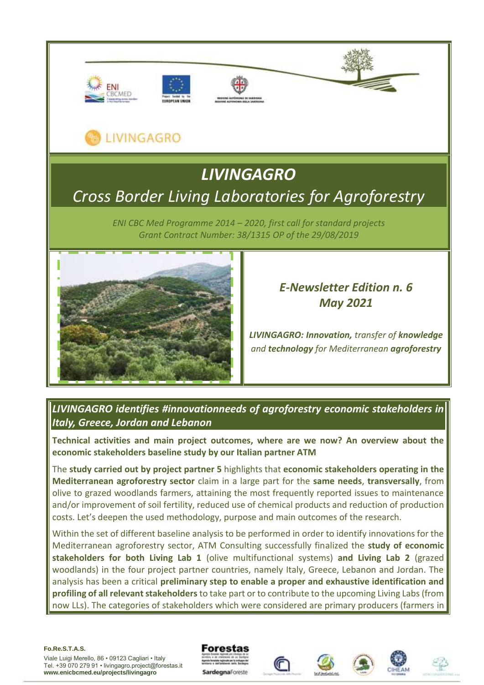

# LIVINGAGRO

# *LIVINGAGRO Cross Border Living Laboratories for Agroforestry*

*ENI CBC Med Programme 2014 – 2020, first call for standard projects Grant Contract Number: 38/1315 OP of the 29/08/2019*



# *E-Newsletter Edition n. 6 May 2021*

*LIVINGAGRO: Innovation, transfer of knowledge and technology for Mediterranean agroforestry*

## *LIVINGAGRO identifies #innovationneeds of agroforestry economic stakeholders in Italy, Greece, Jordan and Lebanon*

**Technical activities and main project outcomes, where are we now? An overview about the economic stakeholders baseline study by our Italian partner ATM**

The **study carried out by project partner 5** highlights that **economic stakeholders operating in the Mediterranean agroforestry sector** claim in a large part for the **same needs**, **transversally**, from olive to grazed woodlands farmers, attaining the most frequently reported issues to maintenance and/or improvement of soil fertility, reduced use of chemical products and reduction of production costs. Let's deepen the used methodology, purpose and main outcomes of the research.

Within the set of different baseline analysis to be performed in order to identify innovations for the Mediterranean agroforestry sector, ATM Consulting successfully finalized the **study of economic stakeholders for both Living Lab 1** (olive multifunctional systems) **and Living Lab 2** (grazed woodlands) in the four project partner countries, namely Italy, Greece, Lebanon and Jordan. The analysis has been a critical **preliminary step to enable a proper and exhaustive identification and profiling of all relevant stakeholders**to take part or to contribute to the upcoming Living Labs (from now LLs). The categories of stakeholders which were considered are primary producers (farmers in

#### **Fo.Re.S.T.A.S.**









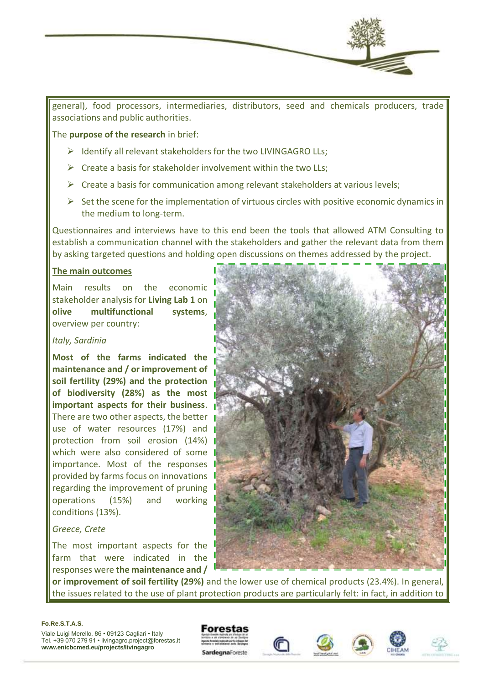

general), food processors, intermediaries, distributors, seed and chemicals producers, trade associations and public authorities.

### The **purpose of the research** in brief:

- ➢ Identify all relevant stakeholders for the two LIVINGAGRO LLs;
- $\triangleright$  Create a basis for stakeholder involvement within the two LLs:
- $\triangleright$  Create a basis for communication among relevant stakeholders at various levels;
- $\triangleright$  Set the scene for the implementation of virtuous circles with positive economic dynamics in the medium to long-term.

Questionnaires and interviews have to this end been the tools that allowed ATM Consulting to establish a communication channel with the stakeholders and gather the relevant data from them by asking targeted questions and holding open discussions on themes addressed by the project.

### **The main outcomes**

Main results on the economic stakeholder analysis for **Living Lab 1** on **olive multifunctional systems**, overview per country:

#### *Italy, Sardinia*

**Most of the farms indicated the maintenance and / or improvement of soil fertility (29%) and the protection of biodiversity (28%) as the most important aspects for their business**. There are two other aspects, the better use of water resources (17%) and protection from soil erosion (14%) which were also considered of some importance. Most of the responses provided by farms focus on innovations regarding the improvement of pruning operations (15%) and working conditions (13%).

#### *Greece, Crete*

The most important aspects for the farm that were indicated in the responses were **the maintenance and /** 



**or improvement of soil fertility (29%)** and the lower use of chemical products (23.4%). In general, the issues related to the use of plant protection products are particularly felt: in fact, in addition to

#### **Fo.Re.S.T.A.S.**







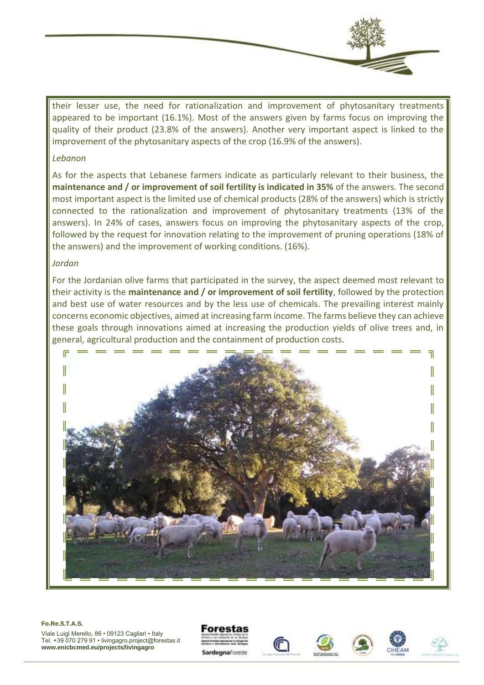their lesser use, the need for rationalization and improvement of phytosanitary treatments appeared to be important (16.1%). Most of the answers given by farms focus on improving the quality of their product (23.8% of the answers). Another very important aspect is linked to the

improvement of the phytosanitary aspects of the crop (16.9% of the answers).

#### *Lebanon*

As for the aspects that Lebanese farmers indicate as particularly relevant to their business, the **maintenance and / or improvement of soil fertility is indicated in 35%** of the answers. The second most important aspect is the limited use of chemical products (28% of the answers) which is strictly connected to the rationalization and improvement of phytosanitary treatments (13% of the answers). In 24% of cases, answers focus on improving the phytosanitary aspects of the crop, followed by the request for innovation relating to the improvement of pruning operations (18% of the answers) and the improvement of working conditions. (16%).

## *Jordan*

For the Jordanian olive farms that participated in the survey, the aspect deemed most relevant to their activity is the **maintenance and / or improvement of soil fertility**, followed by the protection and best use of water resources and by the less use of chemicals. The prevailing interest mainly concerns economic objectives, aimed at increasing farm income. The farms believe they can achieve these goals through innovations aimed at increasing the production yields of olive trees and, in general, agricultural production and the containment of production costs.



#### **Fo.Re.S.T.A.S.**







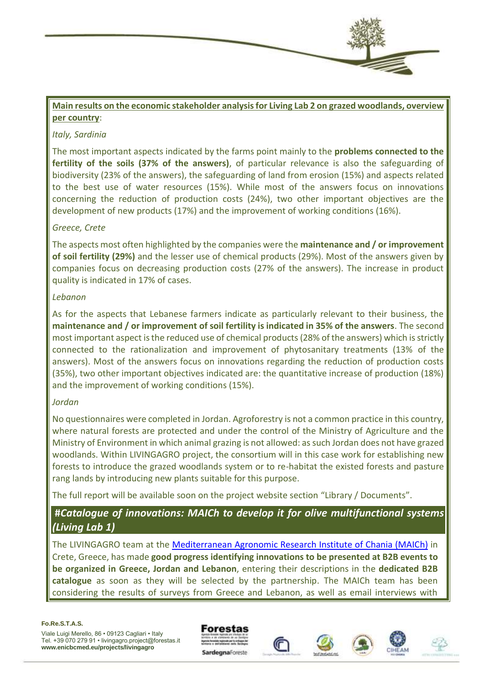

## **Main results on the economic stakeholder analysis for Living Lab 2 on grazed woodlands, overview per country**:

## *Italy, Sardinia*

The most important aspects indicated by the farms point mainly to the **problems connected to the fertility of the soils (37% of the answers)**, of particular relevance is also the safeguarding of biodiversity (23% of the answers), the safeguarding of land from erosion (15%) and aspects related to the best use of water resources (15%). While most of the answers focus on innovations concerning the reduction of production costs (24%), two other important objectives are the development of new products (17%) and the improvement of working conditions (16%).

## *Greece, Crete*

The aspects most often highlighted by the companies were the **maintenance and / or improvement of soil fertility (29%)** and the lesser use of chemical products (29%). Most of the answers given by companies focus on decreasing production costs (27% of the answers). The increase in product quality is indicated in 17% of cases.

## *Lebanon*

As for the aspects that Lebanese farmers indicate as particularly relevant to their business, the **maintenance and / or improvement of soil fertility is indicated in 35% of the answers**. The second most important aspect is the reduced use of chemical products (28% of the answers) which is strictly connected to the rationalization and improvement of phytosanitary treatments (13% of the answers). Most of the answers focus on innovations regarding the reduction of production costs (35%), two other important objectives indicated are: the quantitative increase of production (18%) and the improvement of working conditions (15%).

## *Jordan*

No questionnaires were completed in Jordan. Agroforestry is not a common practice in this country, where natural forests are protected and under the control of the Ministry of Agriculture and the Ministry of Environment in which animal grazing is not allowed: as such Jordan does not have grazed woodlands. Within LIVINGAGRO project, the consortium will in this case work for establishing new forests to introduce the grazed woodlands system or to re-habitat the existed forests and pasture rang lands by introducing new plants suitable for this purpose.

The full report will be available soon on the project website section "Library / Documents".

## **#***Catalogue of innovations: MAICh to develop it for olive multifunctional systems (Living Lab 1)*

The LIVINGAGRO team at the [Mediterranean Agronomic Research Institute of Chania \(MAICh\)](https://www.iamc.ciheam.org/) in Crete, Greece, has made **good progress identifying innovations to be presented at B2B events to be organized in Greece, Jordan and Lebanon**, entering their descriptions in the **dedicated B2B catalogue** as soon as they will be selected by the partnership. The MAICh team has been considering the results of surveys from Greece and Lebanon, as well as email interviews with

#### **Fo.Re.S.T.A.S.**







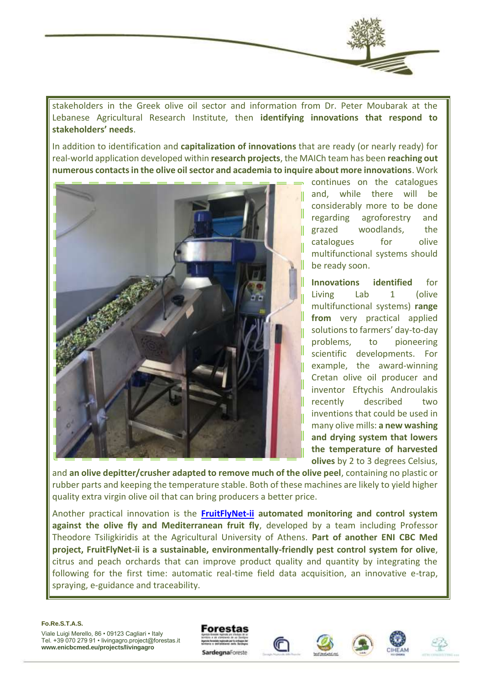

stakeholders in the Greek olive oil sector and information from Dr. Peter Moubarak at the Lebanese Agricultural Research Institute, then **identifying innovations that respond to stakeholders' needs**.

In addition to identification and **capitalization of innovations** that are ready (or nearly ready) for real-world application developed within **research projects**, the MAICh team has been **reaching out numerous contacts in the olive oil sector and academia to inquire about more innovations**. Work



continues on the catalogues and, while there will be considerably more to be done regarding agroforestry and grazed woodlands, the catalogues for olive multifunctional systems should be ready soon.

**Innovations identified** for Living Lab 1 (olive multifunctional systems) **range from** very practical applied solutions to farmers' day-to-day problems, to pioneering scientific developments. For example, the award-winning Cretan olive oil producer and inventor Eftychis Androulakis recently described two inventions that could be used in many olive mills: **a new washing and drying system that lowers the temperature of harvested olives** by 2 to 3 degrees Celsius,

and **an olive depitter/crusher adapted to remove much of the olive peel**, containing no plastic or rubber parts and keeping the temperature stable. Both of these machines are likely to yield higher quality extra virgin olive oil that can bring producers a better price.

Another practical innovation is the **[FruitFlyNet-ii](http://www.enicbcmed.eu/projects/fruitflynet-ii) automated monitoring and control system against the olive fly and Mediterranean fruit fly**, developed by a team including Professor Theodore Tsiligkiridis at the Agricultural University of Athens. **Part of another ENI CBC Med project, FruitFlyNet-ii is a sustainable, environmentally-friendly pest control system for olive**, citrus and peach orchards that can improve product quality and quantity by integrating the following for the first time: automatic real-time field data acquisition, an innovative e-trap, spraying, e-guidance and traceability.

**Fo.Re.S.T.A.S.**







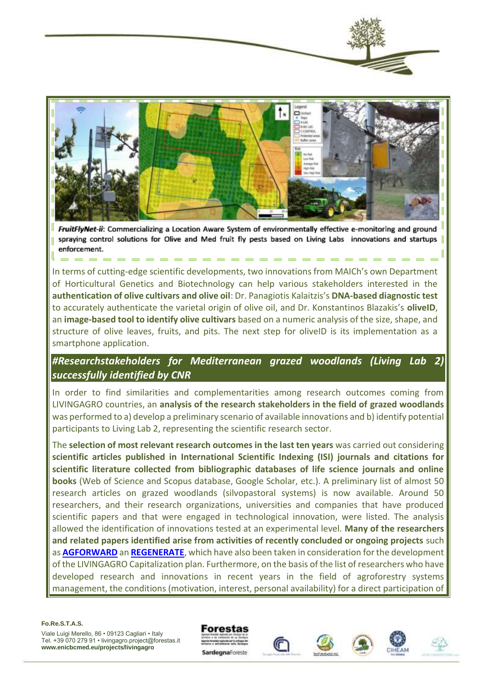



FruitFlyNet-ii: Commercializing a Location Aware System of environmentally effective e-monitoring and ground spraying control solutions for Olive and Med fruit fly pests based on Living Labs innovations and startups enforcement.

In terms of cutting-edge scientific developments, two innovations from MAICh's own Department of Horticultural Genetics and Biotechnology can help various stakeholders interested in the **authentication of olive cultivars and olive oil**: Dr. Panagiotis Kalaitzis's **DNA-based diagnostic test** to accurately authenticate the varietal origin of olive oil, and Dr. Konstantinos Blazakis's **oliveID**, an **image-based tool to identify olive cultivars** based on a numeric analysis of the size, shape, and structure of olive leaves, fruits, and pits. The next step for oliveID is its implementation as a smartphone application.

*#Researchstakeholders for Mediterranean grazed woodlands (Living Lab 2) successfully identified by CNR*

In order to find similarities and complementarities among research outcomes coming from LIVINGAGRO countries, an **analysis of the research stakeholders in the field of grazed woodlands** was performed to a) develop a preliminary scenario of available innovations and b) identify potential participants to Living Lab 2, representing the scientific research sector.

The **selection of most relevant research outcomes in the last ten years** was carried out considering **scientific articles published in International Scientific Indexing (ISI) journals and citations for scientific literature collected from bibliographic databases of life science journals and online books** (Web of Science and Scopus database, Google Scholar, etc.). A preliminary list of almost 50 research articles on grazed woodlands (silvopastoral systems) is now available. Around 50 researchers, and their research organizations, universities and companies that have produced scientific papers and that were engaged in technological innovation, were listed. The analysis allowed the identification of innovations tested at an experimental level. **Many of the researchers and related papers identified arise from activities of recently concluded or ongoing projects** such as **[AGFORWARD](https://www.agforward.eu/index.php/it/)** an **[REGENERATE](https://regenerate.eu/en/)**, which have also been taken in consideration for the development of the LIVINGAGRO Capitalization plan. Furthermore, on the basis of the list of researchers who have developed research and innovations in recent years in the field of agroforestry systems management, the conditions (motivation, interest, personal availability) for a direct participation of

**Fo.Re.S.T.A.S.**







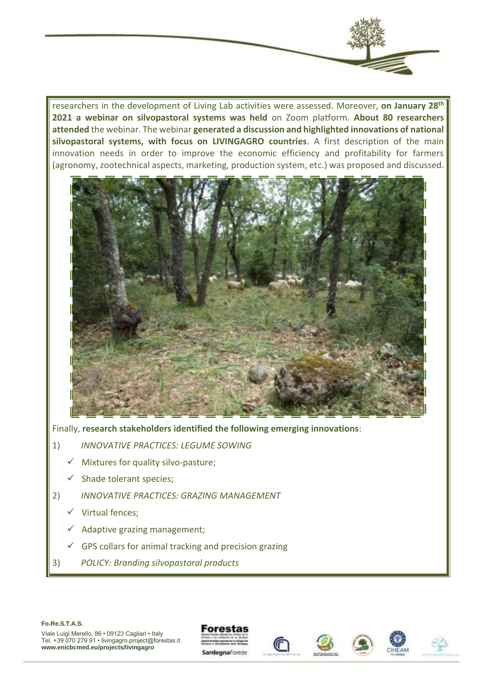researchers in the development of Living Lab activities were assessed. Moreover, **on January 28th 2021 a webinar on silvopastoral systems was held** on Zoom platform. **About 80 researchers attended** the webinar. The webinar **generated a discussion and highlighted innovations of national silvopastoral systems, with focus on LIVINGAGRO countries**. A first description of the main innovation needs in order to improve the economic efficiency and profitability for farmers (agronomy, zootechnical aspects, marketing, production system, etc.) was proposed and discussed.



Finally, **research stakeholders identified the following emerging innovations**:

- 1) *INNOVATIVE PRACTICES: LEGUME SOWING*
	- $\checkmark$  Mixtures for quality silvo-pasture;
	- $\checkmark$  Shade tolerant species:
- 2) *INNOVATIVE PRACTICES: GRAZING MANAGEMENT*
	- ✓ Virtual fences;
	- $\checkmark$  Adaptive grazing management;
	- $\checkmark$  GPS collars for animal tracking and precision grazing
- 3) *POLICY: Branding silvopastoral products*

#### **Fo.Re.S.T.A.S.**







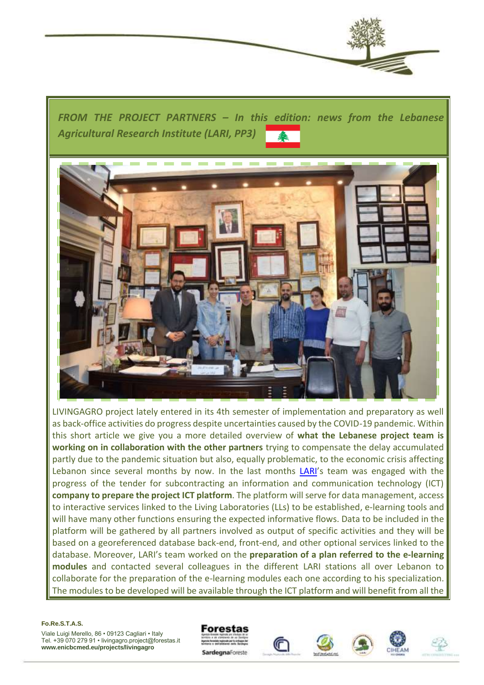

*FROM THE PROJECT PARTNERS – In this edition: news from the Lebanese Agricultural Research Institute (LARI, PP3)* 



LIVINGAGRO project lately entered in its 4th semester of implementation and preparatory as well as back-office activities do progress despite uncertainties caused by the COVID-19 pandemic. Within this short article we give you a more detailed overview of **what the Lebanese project team is working on in collaboration with the other partners** trying to compensate the delay accumulated partly due to the pandemic situation but also, equally problematic, to the economic crisis affecting Lebanon since several months by now. In the last months [LARI](http://www.lari.gov.lb/)'s team was engaged with the progress of the tender for subcontracting an information and communication technology (ICT) **company to prepare the project ICT platform**. The platform will serve for data management, access to interactive services linked to the Living Laboratories (LLs) to be established, e-learning tools and will have many other functions ensuring the expected informative flows. Data to be included in the platform will be gathered by all partners involved as output of specific activities and they will be based on a georeferenced database back-end, front-end, and other optional services linked to the database. Moreover, LARI's team worked on the **preparation of a plan referred to the e-learning modules** and contacted several colleagues in the different LARI stations all over Lebanon to collaborate for the preparation of the e-learning modules each one according to his specialization. The modules to be developed will be available through the ICT platform and will benefit from all the

#### **Fo.Re.S.T.A.S.**







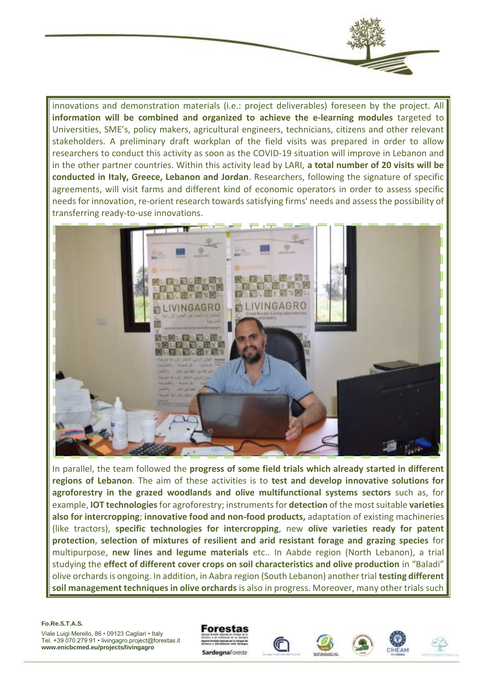

innovations and demonstration materials (i.e.: project deliverables) foreseen by the project. All **information will be combined and organized to achieve the e-learning modules** targeted to Universities, SME's, policy makers, agricultural engineers, technicians, citizens and other relevant stakeholders. A preliminary draft workplan of the field visits was prepared in order to allow researchers to conduct this activity as soon as the COVID-19 situation will improve in Lebanon and in the other partner countries. Within this activity lead by LARI, **a total number of 20 visits will be conducted in Italy, Greece, Lebanon and Jordan**. Researchers, following the signature of specific agreements, will visit farms and different kind of economic operators in order to assess specific needs for innovation, re-orient research towards satisfying firms' needs and assess the possibility of transferring ready-to-use innovations.



In parallel, the team followed the **progress of some field trials which already started in different regions of Lebanon**. The aim of these activities is to **test and develop innovative solutions for agroforestry in the grazed woodlands and olive multifunctional systems sectors** such as, for example, **IOT technologies**for agroforestry; instruments for **detection** of the most suitable **varieties also for intercropping**; **innovative food and non-food products,** adaptation of existing machineries (like tractors), **specific technologies for intercropping**, new **olive varieties ready for patent protection**, **selection of mixtures of resilient and arid resistant forage and grazing species** for multipurpose, **new lines and legume materials** etc.. In Aabde region (North Lebanon), a trial studying the **effect of different cover crops on soil characteristics and olive production** in "Baladi" olive orchards is ongoing. In addition, in Aabra region (South Lebanon) another trial **testing different soil management techniques in olive orchards** is also in progress. Moreover, many other trials such

#### **Fo.Re.S.T.A.S.**